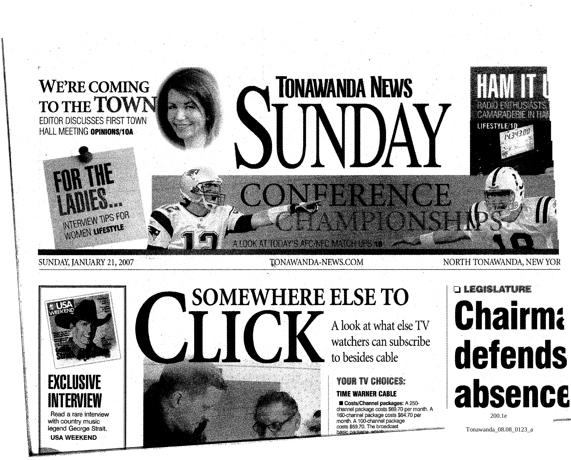

SUNDAY, JANUARY 21, 2007





Read a rare interview with country music legend George Strait. USA WEEKEND

# **SOMEWHERE ELSE TO**  A look at what else TV watchers can subscribe

to besides cable

# YOUR TV CHOICES: **TIME WARNER CABLE**

**WE Costs/Channel packages: A 250**channel package costs \$69.70 per month. A l60-channel package costs \$64.70 per month. A 100-channel package costs \$59.70. The broadcast hasic nackage with

# o LEGISLATURE **Chairm** defends absenc 200.1e

Tonawanda\_08.08\_0123\_a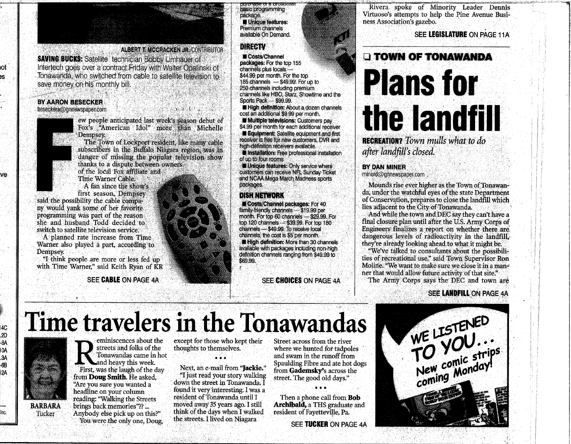

### **BY AARON BESECKER**

### beseckera@gnnewspapen.com



юť

įS.

ve

I4C .<br>2D

-8A

IÒÄ

3A

-6B

i2A

Inc.

ew people anticipated last week's season debut of Fox's "American Idol" more than Michelle Dempsey.

The Town of Lockport resident, like many cable subscribers in the Buffalo Niagara region, was in danger of missing the popular television show thanks to a dispute between owners

of the local Fox affiliate and Time Warner Cable.

A fan since the show's first season, Dempsey

said the possibility the cable company would vank some of her favorite programming was part of the reason. she and husband Todd decided to switch to satellite television service.

A planned rate increase from Time Warner also played a part, according to Dempsey.

"I think people are more or less fed up with Time Warner," said Keith Ryan of KR

SEE CABLE ON PAGE 4A

#### asic programming package, **E** Unique features: Premium channels available On Demand.

#### **DIRECTV**

Costs/Channel packages: For the top 155 channels plus locals -\$44.99 per month. For the top 185 channels - \$49.99. For up to 250 channels including premium channels like HBO, Starz, Showtime and the Sports Pack - \$99.99

High definition: About a dozen channels cost an additional \$9.99 per month. Multiple televisions: Customers pay

\$4.99 per month for each additional receiver Equipment: Satellite equipment and first

receiver is free for new customers. DVR and high-definition receivers available.

Installation: Free professional installation of up to four rooms

Unique features: Only service where customers can receive NFL Sunday Ticket and NCAA Mega March Madness sports packages.

#### DISHNETWORK

**Costs/Channel packages: For 40** family-friendly channels - \$19.99 per month. For top 60 channels - \$29.99. For top 120 channels - \$39.99. For top 180 channels - \$49.99. To receive local channels, the cost is \$5 per month. High definition: More than 30 channels available with packages including non-high definition channels ranging from \$49.99 to \$69.99.

SEE CHOICES ON PAGE 4A

#### Rivera spoke of Minority Leader Dennis Virtuoso's attempts to help the Pine Avenue Business Association's gazebo.

SEE LEGISLATURE ON PAGE 11A

## **O TOWN OF TONAWANDA**

# **Plans for** the landfill **RECREATION?** Town mulls what to do

after landfill's closed.

#### **BY DAN MINER**

minerd@gnnewspaper.com

Mounds rise ever higher as the Town of Tonawanda, under the watchful eves of the state Department of Conservation, prepares to close the landfill which lies adjacent to the City of Tonawanda.

And while the town and DEC say they can't have a final closure plan until after the U.S. Army Corps of Engineers finalizes a report on whether there are dangerous levels of radioactivity in the landfill. they're already looking ahead to what it might be.

"We've talked to consultants about the possibilities of recreational use," said Town Supervisor Ron Moline. "We want to make sure we close it in a manner that would allow future activity of that site."

The Army Corps says the DEC and town are

### **SEE LANDFILL ON PAGE 4A**

# Time travelers in the Tonawandas



Tucker

eminiscences about the streets and folks of the Tonawandas came in hot and heavy this week. First, was the laugh of the day from **Doug Smith**. He asked. "Are you sure you wanted a headline on your column reading: "Walking the Streets brings back memories"?? ... Anybody else pick up on this?" You were the only one, Doug,

except for those who kept their thoughts to themselves.

Next, an e-mail from "lackie." "I just read your story walking down the street in Tonawanda. I found it very interesting. I was a resident of Tonawanda until I moved away 35 years ago. I still think of the days when I walked the streets. I lived on Niagara

Street across from the river where we hunted for tadpoles and swam in the runoff from Spaulding Fibre and ate hot dogs from Gademsky's across the street. The good old days."

Then a phone call from **Bob Archibald, a THS graduate and** resident of Fayetteville, Pa.

SEE TUCKER ON PAGE 4A